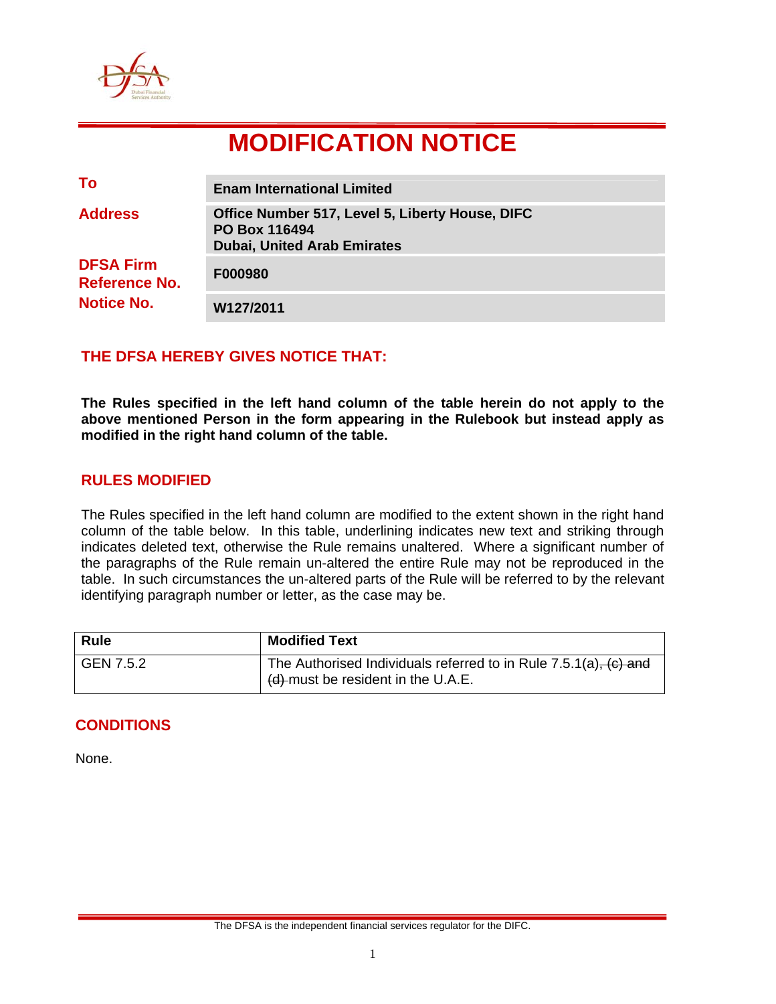

# **MODIFICATION NOTICE**

| To                                                     | <b>Enam International Limited</b>                                                                             |
|--------------------------------------------------------|---------------------------------------------------------------------------------------------------------------|
| <b>Address</b>                                         | Office Number 517, Level 5, Liberty House, DIFC<br><b>PO Box 116494</b><br><b>Dubai, United Arab Emirates</b> |
| <b>DFSA Firm</b><br>Reference No.<br><b>Notice No.</b> | F000980                                                                                                       |
|                                                        | W127/2011                                                                                                     |

## **THE DFSA HEREBY GIVES NOTICE THAT:**

**The Rules specified in the left hand column of the table herein do not apply to the above mentioned Person in the form appearing in the Rulebook but instead apply as modified in the right hand column of the table.** 

#### **RULES MODIFIED**

The Rules specified in the left hand column are modified to the extent shown in the right hand column of the table below. In this table, underlining indicates new text and striking through indicates deleted text, otherwise the Rule remains unaltered. Where a significant number of the paragraphs of the Rule remain un-altered the entire Rule may not be reproduced in the table. In such circumstances the un-altered parts of the Rule will be referred to by the relevant identifying paragraph number or letter, as the case may be.

| <b>Rule</b> | <b>Modified Text</b>                                                                                   |
|-------------|--------------------------------------------------------------------------------------------------------|
| GEN 7.5.2   | The Authorised Individuals referred to in Rule 7.5.1(a), (c) and<br>(d) must be resident in the U.A.E. |

#### **CONDITIONS**

None.